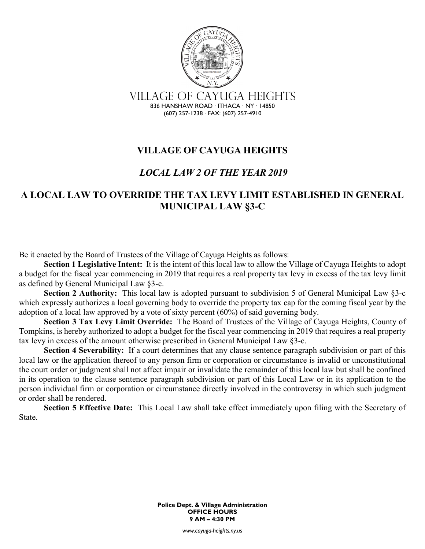

## **VILLAGE OF CAYUGA HEIGHTS**

## *LOCAL LAW 2 OF THE YEAR 2019*

## **A LOCAL LAW TO OVERRIDE THE TAX LEVY LIMIT ESTABLISHED IN GENERAL MUNICIPAL LAW §3-C**

Be it enacted by the Board of Trustees of the Village of Cayuga Heights as follows:

**Section 1 Legislative Intent:** It is the intent of this local law to allow the Village of Cayuga Heights to adopt a budget for the fiscal year commencing in 2019 that requires a real property tax levy in excess of the tax levy limit as defined by General Municipal Law §3-c.

**Section 2 Authority:** This local law is adopted pursuant to subdivision 5 of General Municipal Law §3-c which expressly authorizes a local governing body to override the property tax cap for the coming fiscal year by the adoption of a local law approved by a vote of sixty percent (60%) of said governing body.

**Section 3 Tax Levy Limit Override:** The Board of Trustees of the Village of Cayuga Heights, County of Tompkins, is hereby authorized to adopt a budget for the fiscal year commencing in 2019 that requires a real property tax levy in excess of the amount otherwise prescribed in General Municipal Law §3-c.

**Section 4 Severability:** If a court determines that any clause sentence paragraph subdivision or part of this local law or the application thereof to any person firm or corporation or circumstance is invalid or unconstitutional the court order or judgment shall not affect impair or invalidate the remainder of this local law but shall be confined in its operation to the clause sentence paragraph subdivision or part of this Local Law or in its application to the person individual firm or corporation or circumstance directly involved in the controversy in which such judgment or order shall be rendered.

**Section 5 Effective Date:** This Local Law shall take effect immediately upon filing with the Secretary of State.

> **Police Dept. & Village Administration OFFICE HOURS 9 AM – 4:30 PM**

> > *www.cayuga-heights.ny.us*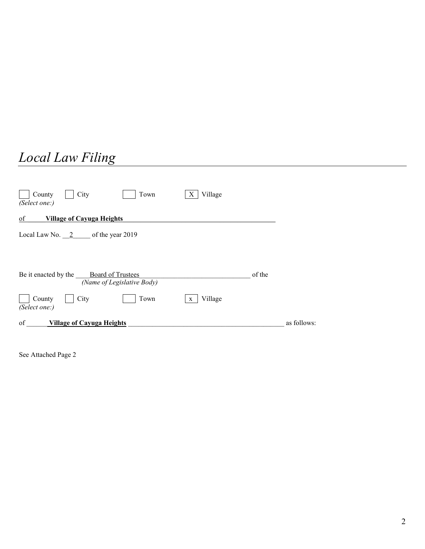## *Local Law Filing*

| City<br>Village<br>County<br>Town<br>X<br>(Select one:)                        |             |
|--------------------------------------------------------------------------------|-------------|
| <b>Village of Cayuga Heights</b><br>of                                         |             |
| Local Law No. $2$ of the year 2019                                             |             |
| Be it enacted by the<br><b>Board of Trustees</b><br>(Name of Legislative Body) | of the      |
| City<br>Village<br>County<br>Town<br>$\mathbf{X}$<br>(Select one:)             |             |
| of<br><b>Village of Cayuga Heights</b>                                         | as follows: |

See Attached Page 2